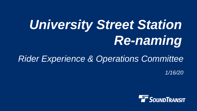# *University Street Station Re-naming*

# *Rider Experience & Operations Committee*

*1/16/20*

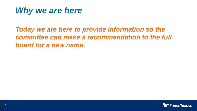#### *Why we are here*

*Today we are here to provide information so the committee can make a recommendation to the full board for a new name.*

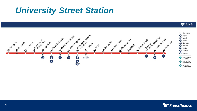### *University Street Station*



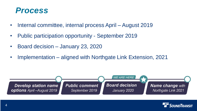#### *Process*

- Internal committee, internal process April August 2019
- Public participation opportunity September 2019
- Board decision January 23, 2020
- Implementation aligned with Northgate Link Extension, 2021



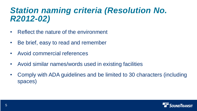### *Station naming criteria (Resolution No. R2012-02)*

- Reflect the nature of the environment
- Be brief, easy to read and remember
- Avoid commercial references
- Avoid similar names/words used in existing facilities
- Comply with ADA guidelines and be limited to 30 characters (including spaces)

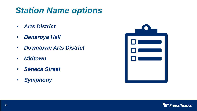# *Station Name options*

- *Arts District*
- *Benaroya Hall*
- *Downtown Arts District*
- *Midtown*
- *Seneca Street*
- *Symphony*



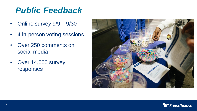# *Public Feedback*

- Online survey  $9/9 9/30$
- 4 in-person voting sessions
- Over 250 comments on social media
- Over 14,000 survey responses



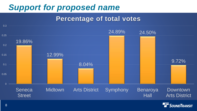# *Support for proposed name*

#### **Percentage of total votes**

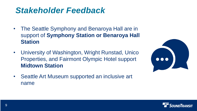# *Stakeholder Feedback*

- The Seattle Symphony and Benaroya Hall are in support of **Symphony Station or Benaroya Hall Station**
- University of Washington, Wright Runstad, Unico Properties, and Fairmont Olympic Hotel support **Midtown Station**





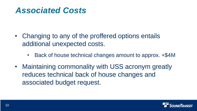### *Associated Costs*

- Changing to any of the proffered options entails additional unexpected costs.
	- Back of house technical changes amount to approx.  $+\$4M$
- Maintaining commonality with USS acronym greatly reduces technical back of house changes and associated budget request.

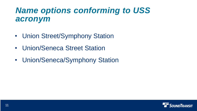# *Name options conforming to USS acronym*

- Union Street/Symphony Station
- Union/Seneca Street Station
- Union/Seneca/Symphony Station

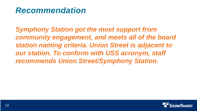### *Recommendation*

*Symphony Station got the most support from community engagement, and meets all of the board station naming criteria. Union Street is adjacent to our station. To conform with USS acronym, staff recommends Union Street/Symphony Station.*